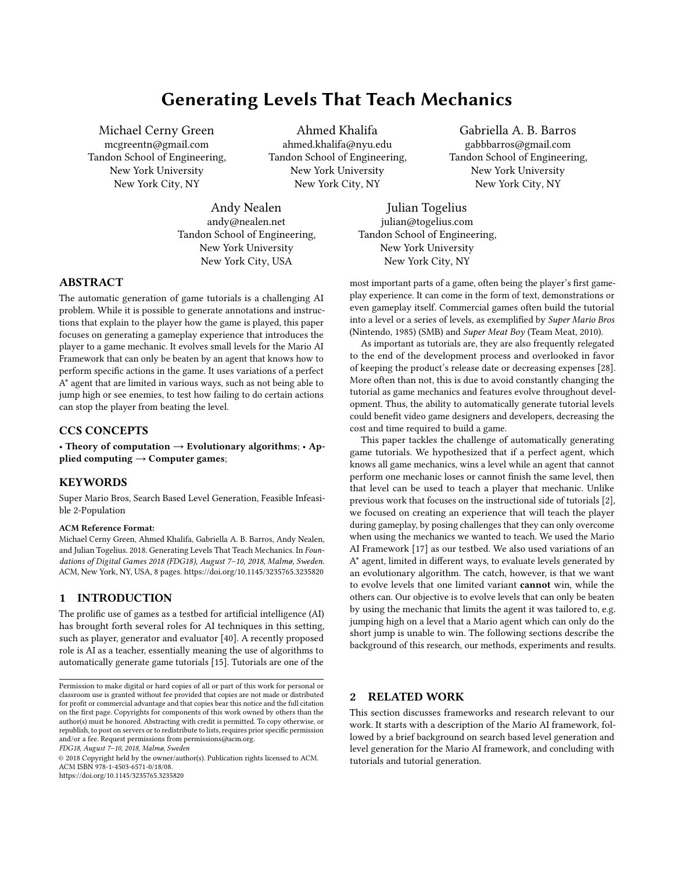# Generating Levels That Teach Mechanics

<span id="page-0-0"></span>Michael Cerny Green mcgreentn@gmail.com Tandon School of Engineering, New York University New York City, NY

Ahmed Khalifa ahmed.khalifa@nyu.edu Tandon School of Engineering, New York University New York City, NY

Gabriella A. B. Barros gabbbarros@gmail.com Tandon School of Engineering, New York University New York City, NY

Andy Nealen andy@nealen.net Tandon School of Engineering, New York University New York City, USA

Julian Togelius julian@togelius.com Tandon School of Engineering, New York University New York City, NY

### ABSTRACT

The automatic generation of game tutorials is a challenging AI problem. While it is possible to generate annotations and instructions that explain to the player how the game is played, this paper focuses on generating a gameplay experience that introduces the player to a game mechanic. It evolves small levels for the Mario AI Framework that can only be beaten by an agent that knows how to perform specific actions in the game. It uses variations of a perfect A\* agent that are limited in various ways, such as not being able to jump high or see enemies, to test how failing to do certain actions can stop the player from beating the level.

## CCS CONCEPTS

• Theory of computation  $\rightarrow$  Evolutionary algorithms; • Applied computing  $\rightarrow$  Computer games;

### **KEYWORDS**

Super Mario Bros, Search Based Level Generation, Feasible Infeasible 2-Population

#### ACM Reference Format:

Michael Cerny Green, Ahmed Khalifa, Gabriella A. B. Barros, Andy Nealen, and Julian Togelius. 2018. Generating Levels That Teach Mechanics. In Foundations of Digital Games 2018 (FDG18), August 7–10, 2018, Malmø, Sweden. ACM, New York, NY, USA, [8](#page-7-0) pages.<https://doi.org/10.1145/3235765.3235820>

### 1 INTRODUCTION

The prolific use of games as a testbed for artificial intelligence (AI) has brought forth several roles for AI techniques in this setting, such as player, generator and evaluator [\[40\]](#page-7-1). A recently proposed role is AI as a teacher, essentially meaning the use of algorithms to automatically generate game tutorials [\[15\]](#page-7-2). Tutorials are one of the

FDG18, August 7–10, 2018, Malmø, Sweden

© 2018 Copyright held by the owner/author(s). Publication rights licensed to ACM. ACM ISBN 978-1-4503-6571-0/18/08. <https://doi.org/10.1145/3235765.3235820>

most important parts of a game, often being the player's first gameplay experience. It can come in the form of text, demonstrations or even gameplay itself. Commercial games often build the tutorial into a level or a series of levels, as exemplified by Super Mario Bros

(Nintendo, 1985) (SMB) and Super Meat Boy (Team Meat, 2010). As important as tutorials are, they are also frequently relegated to the end of the development process and overlooked in favor of keeping the product's release date or decreasing expenses [\[28\]](#page-7-3). More often than not, this is due to avoid constantly changing the tutorial as game mechanics and features evolve throughout development. Thus, the ability to automatically generate tutorial levels could benefit video game designers and developers, decreasing the cost and time required to build a game.

This paper tackles the challenge of automatically generating game tutorials. We hypothesized that if a perfect agent, which knows all game mechanics, wins a level while an agent that cannot perform one mechanic loses or cannot finish the same level, then that level can be used to teach a player that mechanic. Unlike previous work that focuses on the instructional side of tutorials [\[2\]](#page-6-0), we focused on creating an experience that will teach the player during gameplay, by posing challenges that they can only overcome when using the mechanics we wanted to teach. We used the Mario AI Framework [\[17\]](#page-7-4) as our testbed. We also used variations of an A\* agent, limited in different ways, to evaluate levels generated by an evolutionary algorithm. The catch, however, is that we want to evolve levels that one limited variant cannot win, while the others can. Our objective is to evolve levels that can only be beaten by using the mechanic that limits the agent it was tailored to, e.g. jumping high on a level that a Mario agent which can only do the short jump is unable to win. The following sections describe the background of this research, our methods, experiments and results.

### 2 RELATED WORK

This section discusses frameworks and research relevant to our work. It starts with a description of the Mario AI framework, followed by a brief background on search based level generation and level generation for the Mario AI framework, and concluding with tutorials and tutorial generation.

Permission to make digital or hard copies of all or part of this work for personal or classroom use is granted without fee provided that copies are not made or distributed for profit or commercial advantage and that copies bear this notice and the full citation on the first page. Copyrights for components of this work owned by others than the author(s) must be honored. Abstracting with credit is permitted. To copy otherwise, or republish, to post on servers or to redistribute to lists, requires prior specific permission and/or a fee. Request permissions from permissions@acm.org.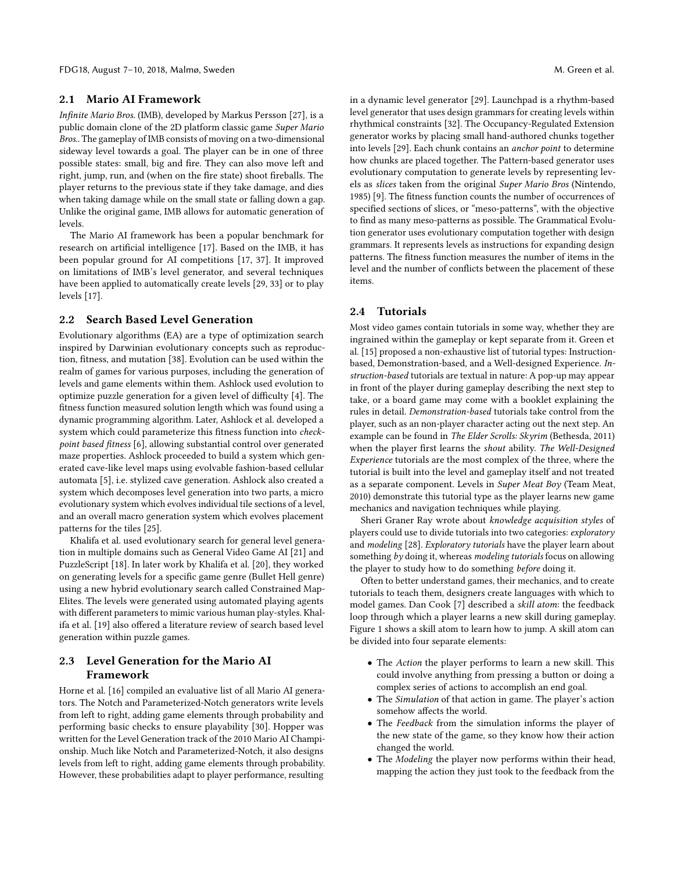#### 2.1 Mario AI Framework

Infinite Mario Bros. (IMB), developed by Markus Persson [\[27\]](#page-7-5), is a public domain clone of the 2D platform classic game Super Mario Bros.. The gameplay of IMB consists of moving on a two-dimensional sideway level towards a goal. The player can be in one of three possible states: small, big and fire. They can also move left and right, jump, run, and (when on the fire state) shoot fireballs. The player returns to the previous state if they take damage, and dies when taking damage while on the small state or falling down a gap. Unlike the original game, IMB allows for automatic generation of levels.

The Mario AI framework has been a popular benchmark for research on artificial intelligence [\[17\]](#page-7-4). Based on the IMB, it has been popular ground for AI competitions [\[17,](#page-7-4) [37\]](#page-7-6). It improved on limitations of IMB's level generator, and several techniques have been applied to automatically create levels [\[29,](#page-7-7) [33\]](#page-7-8) or to play levels [\[17\]](#page-7-4).

### 2.2 Search Based Level Generation

Evolutionary algorithms (EA) are a type of optimization search inspired by Darwinian evolutionary concepts such as reproduction, fitness, and mutation [\[38\]](#page-7-9). Evolution can be used within the realm of games for various purposes, including the generation of levels and game elements within them. Ashlock used evolution to optimize puzzle generation for a given level of difficulty [\[4\]](#page-6-1). The fitness function measured solution length which was found using a dynamic programming algorithm. Later, Ashlock et al. developed a system which could parameterize this fitness function into checkpoint based fitness [\[6\]](#page-6-2), allowing substantial control over generated maze properties. Ashlock proceeded to build a system which generated cave-like level maps using evolvable fashion-based cellular automata [\[5\]](#page-6-3), i.e. stylized cave generation. Ashlock also created a system which decomposes level generation into two parts, a micro evolutionary system which evolves individual tile sections of a level, and an overall macro generation system which evolves placement patterns for the tiles [\[25\]](#page-7-10).

Khalifa et al. used evolutionary search for general level generation in multiple domains such as General Video Game AI [\[21\]](#page-7-11) and PuzzleScript [\[18\]](#page-7-12). In later work by Khalifa et al. [\[20\]](#page-7-13), they worked on generating levels for a specific game genre (Bullet Hell genre) using a new hybrid evolutionary search called Constrained Map-Elites. The levels were generated using automated playing agents with different parameters to mimic various human play-styles. Khalifa et al. [\[19\]](#page-7-14) also offered a literature review of search based level generation within puzzle games.

# 2.3 Level Generation for the Mario AI Framework

Horne et al. [\[16\]](#page-7-15) compiled an evaluative list of all Mario AI generators. The Notch and Parameterized-Notch generators write levels from left to right, adding game elements through probability and performing basic checks to ensure playability [\[30\]](#page-7-16). Hopper was written for the Level Generation track of the 2010 Mario AI Championship. Much like Notch and Parameterized-Notch, it also designs levels from left to right, adding game elements through probability. However, these probabilities adapt to player performance, resulting

in a dynamic level generator [\[29\]](#page-7-7). Launchpad is a rhythm-based level generator that uses design grammars for creating levels within rhythmical constraints [\[32\]](#page-7-17). The Occupancy-Regulated Extension generator works by placing small hand-authored chunks together into levels [\[29\]](#page-7-7). Each chunk contains an anchor point to determine how chunks are placed together. The Pattern-based generator uses evolutionary computation to generate levels by representing levels as slices taken from the original Super Mario Bros (Nintendo, 1985) [\[9\]](#page-7-18). The fitness function counts the number of occurrences of specified sections of slices, or "meso-patterns", with the objective to find as many meso-patterns as possible. The Grammatical Evolution generator uses evolutionary computation together with design grammars. It represents levels as instructions for expanding design patterns. The fitness function measures the number of items in the level and the number of conflicts between the placement of these items.

### 2.4 Tutorials

Most video games contain tutorials in some way, whether they are ingrained within the gameplay or kept separate from it. Green et al. [\[15\]](#page-7-2) proposed a non-exhaustive list of tutorial types: Instructionbased, Demonstration-based, and a Well-designed Experience. Instruction-based tutorials are textual in nature: A pop-up may appear in front of the player during gameplay describing the next step to take, or a board game may come with a booklet explaining the rules in detail. Demonstration-based tutorials take control from the player, such as an non-player character acting out the next step. An example can be found in The Elder Scrolls: Skyrim (Bethesda, 2011) when the player first learns the shout ability. The Well-Designed Experience tutorials are the most complex of the three, where the tutorial is built into the level and gameplay itself and not treated as a separate component. Levels in Super Meat Boy (Team Meat, 2010) demonstrate this tutorial type as the player learns new game mechanics and navigation techniques while playing.

Sheri Graner Ray wrote about knowledge acquisition styles of players could use to divide tutorials into two categories: exploratory and modeling [\[28\]](#page-7-3). Exploratory tutorials have the player learn about something by doing it, whereas modeling tutorials focus on allowing the player to study how to do something before doing it.

Often to better understand games, their mechanics, and to create tutorials to teach them, designers create languages with which to model games. Dan Cook [\[7\]](#page-6-4) described a skill atom: the feedback loop through which a player learns a new skill during gameplay. Figure [1](#page-2-0) shows a skill atom to learn how to jump. A skill atom can be divided into four separate elements:

- The Action the player performs to learn a new skill. This could involve anything from pressing a button or doing a complex series of actions to accomplish an end goal.
- The Simulation of that action in game. The player's action somehow affects the world.
- The Feedback from the simulation informs the player of the new state of the game, so they know how their action changed the world.
- The Modeling the player now performs within their head, mapping the action they just took to the feedback from the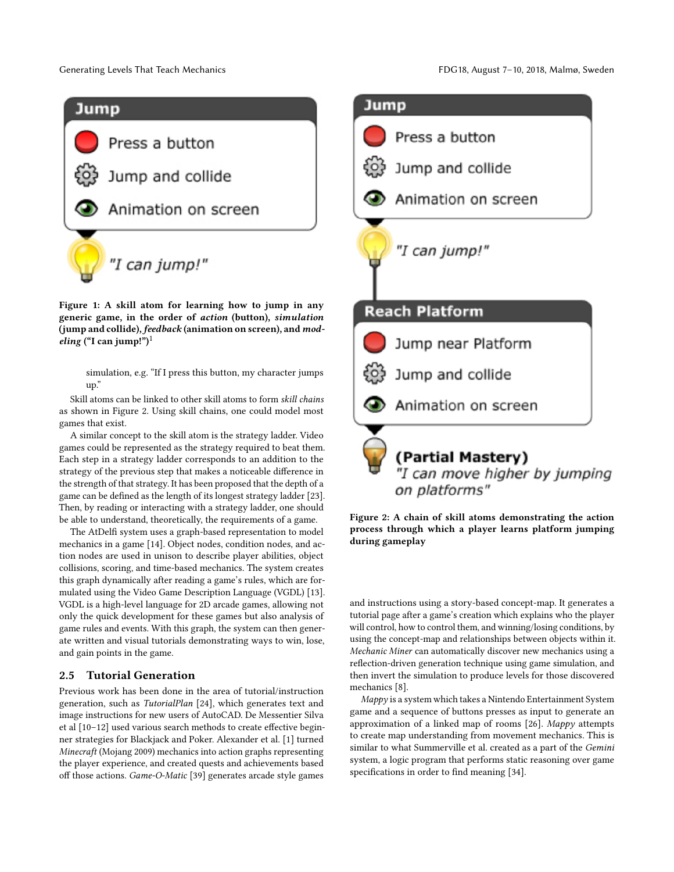<span id="page-2-0"></span>

Figure 1: A skill atom for learning how to jump in any generic game, in the order of action (button), simulation (jump and collide), feedback (animation on screen), and mod-eling ("I can jump!")<sup>[1](#page-0-0)</sup>

simulation, e.g. "If I press this button, my character jumps up."

Skill atoms can be linked to other skill atoms to form skill chains as shown in Figure [2.](#page-2-1) Using skill chains, one could model most games that exist.

A similar concept to the skill atom is the strategy ladder. Video games could be represented as the strategy required to beat them. Each step in a strategy ladder corresponds to an addition to the strategy of the previous step that makes a noticeable difference in the strength of that strategy. It has been proposed that the depth of a game can be defined as the length of its longest strategy ladder [\[23\]](#page-7-19). Then, by reading or interacting with a strategy ladder, one should be able to understand, theoretically, the requirements of a game.

The AtDelfi system uses a graph-based representation to model mechanics in a game [\[14\]](#page-7-20). Object nodes, condition nodes, and action nodes are used in unison to describe player abilities, object collisions, scoring, and time-based mechanics. The system creates this graph dynamically after reading a game's rules, which are formulated using the Video Game Description Language (VGDL) [\[13\]](#page-7-21). VGDL is a high-level language for 2D arcade games, allowing not only the quick development for these games but also analysis of game rules and events. With this graph, the system can then generate written and visual tutorials demonstrating ways to win, lose, and gain points in the game.

### 2.5 Tutorial Generation

Previous work has been done in the area of tutorial/instruction generation, such as TutorialPlan [\[24\]](#page-7-22), which generates text and image instructions for new users of AutoCAD. De Messentier Silva et al [\[10–](#page-7-23)[12\]](#page-7-24) used various search methods to create effective beginner strategies for Blackjack and Poker. Alexander et al. [\[1\]](#page-6-5) turned Minecraft (Mojang 2009) mechanics into action graphs representing the player experience, and created quests and achievements based off those actions. Game-O-Matic [\[39\]](#page-7-25) generates arcade style games

<span id="page-2-1"></span>

Figure 2: A chain of skill atoms demonstrating the action process through which a player learns platform jumping during gameplay

and instructions using a story-based concept-map. It generates a tutorial page after a game's creation which explains who the player will control, how to control them, and winning/losing conditions, by using the concept-map and relationships between objects within it. Mechanic Miner can automatically discover new mechanics using a reflection-driven generation technique using game simulation, and then invert the simulation to produce levels for those discovered mechanics [\[8\]](#page-7-26).

Mappy is a system which takes a Nintendo Entertainment System game and a sequence of buttons presses as input to generate an approximation of a linked map of rooms [\[26\]](#page-7-27). Mappy attempts to create map understanding from movement mechanics. This is similar to what Summerville et al. created as a part of the Gemini system, a logic program that performs static reasoning over game specifications in order to find meaning [\[34\]](#page-7-28).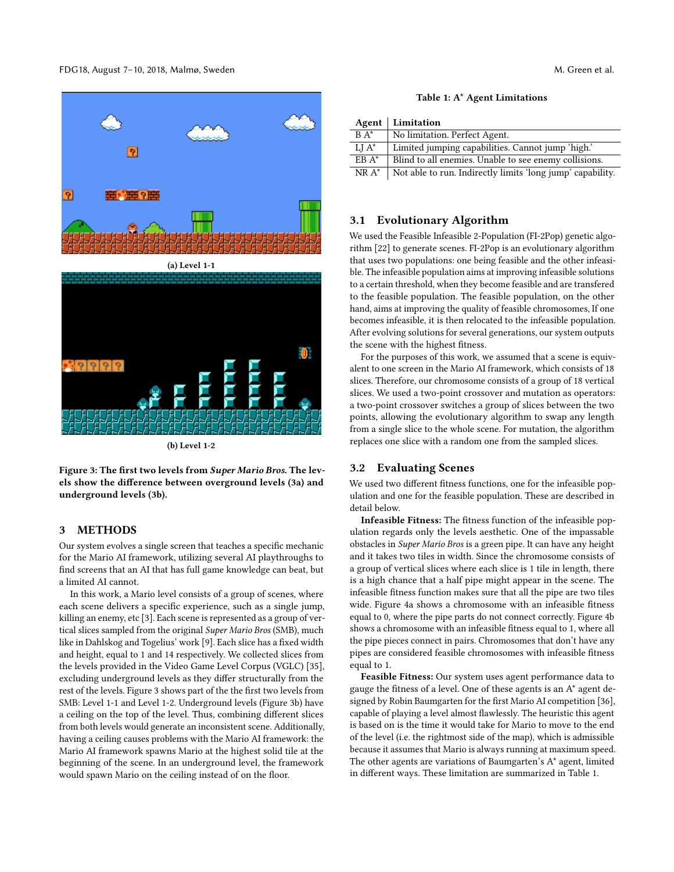<span id="page-3-0"></span>

Figure 3: The first two levels from Super Mario Bros. The levels show the difference between overground levels [\(3a\)](#page-3-0) and underground levels [\(3b\)](#page-3-0).

## 3 METHODS

Our system evolves a single screen that teaches a specific mechanic for the Mario AI framework, utilizing several AI playthroughs to find screens that an AI that has full game knowledge can beat, but a limited AI cannot.

In this work, a Mario level consists of a group of scenes, where each scene delivers a specific experience, such as a single jump, killing an enemy, etc [\[3\]](#page-6-6). Each scene is represented as a group of vertical slices sampled from the original Super Mario Bros (SMB), much like in Dahlskog and Togelius' work [\[9\]](#page-7-18). Each slice has a fixed width and height, equal to 1 and 14 respectively. We collected slices from the levels provided in the Video Game Level Corpus (VGLC) [\[35\]](#page-7-29), excluding underground levels as they differ structurally from the rest of the levels. Figure [3](#page-3-0) shows part of the the first two levels from SMB: Level 1-1 and Level 1-2. Underground levels (Figure [3b\)](#page-3-0) have a ceiling on the top of the level. Thus, combining different slices from both levels would generate an inconsistent scene. Additionally, having a ceiling causes problems with the Mario AI framework: the Mario AI framework spawns Mario at the highest solid tile at the beginning of the scene. In an underground level, the framework would spawn Mario on the ceiling instead of on the floor.

|  |  |  | Table 1: A* Agent Limitations |
|--|--|--|-------------------------------|
|--|--|--|-------------------------------|

<span id="page-3-1"></span>

|          | Agent   Limitation                                         |
|----------|------------------------------------------------------------|
| $BA^*$   | No limitation. Perfect Agent.                              |
| $LI A^*$ | Limited jumping capabilities. Cannot jump 'high.'          |
| $EBA*$   | Blind to all enemies. Unable to see enemy collisions.      |
| $NR A^*$ | Not able to run. Indirectly limits 'long jump' capability. |

### 3.1 Evolutionary Algorithm

We used the Feasible Infeasible 2-Population (FI-2Pop) genetic algorithm [\[22\]](#page-7-30) to generate scenes. FI-2Pop is an evolutionary algorithm that uses two populations: one being feasible and the other infeasible. The infeasible population aims at improving infeasible solutions to a certain threshold, when they become feasible and are transfered to the feasible population. The feasible population, on the other hand, aims at improving the quality of feasible chromosomes, If one becomes infeasible, it is then relocated to the infeasible population. After evolving solutions for several generations, our system outputs the scene with the highest fitness.

For the purposes of this work, we assumed that a scene is equivalent to one screen in the Mario AI framework, which consists of 18 slices. Therefore, our chromosome consists of a group of 18 vertical slices. We used a two-point crossover and mutation as operators: a two-point crossover switches a group of slices between the two points, allowing the evolutionary algorithm to swap any length from a single slice to the whole scene. For mutation, the algorithm replaces one slice with a random one from the sampled slices.

#### 3.2 Evaluating Scenes

We used two different fitness functions, one for the infeasible population and one for the feasible population. These are described in detail below.

Infeasible Fitness: The fitness function of the infeasible population regards only the levels aesthetic. One of the impassable obstacles in Super Mario Bros is a green pipe. It can have any height and it takes two tiles in width. Since the chromosome consists of a group of vertical slices where each slice is 1 tile in length, there is a high chance that a half pipe might appear in the scene. The infeasible fitness function makes sure that all the pipe are two tiles wide. Figure [4a](#page-4-0) shows a chromosome with an infeasible fitness equal to 0, where the pipe parts do not connect correctly. Figure [4b](#page-4-0) shows a chromosome with an infeasible fitness equal to 1, where all the pipe pieces connect in pairs. Chromosomes that don't have any pipes are considered feasible chromosomes with infeasible fitness equal to 1.

Feasible Fitness: Our system uses agent performance data to gauge the fitness of a level. One of these agents is an A\* agent designed by Robin Baumgarten for the first Mario AI competition [\[36\]](#page-7-31), capable of playing a level almost flawlessly. The heuristic this agent is based on is the time it would take for Mario to move to the end of the level (i.e. the rightmost side of the map), which is admissible because it assumes that Mario is always running at maximum speed. The other agents are variations of Baumgarten's A\* agent, limited in different ways. These limitation are summarized in Table [1.](#page-3-1)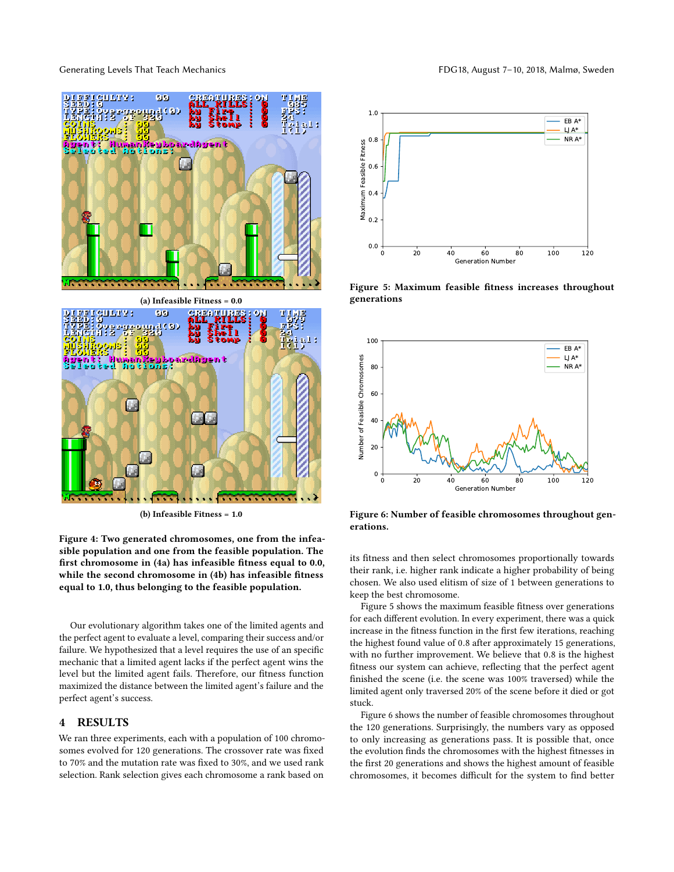Generating Levels That Teach Mechanics **FDG18**, August 7-10, 2018, Malmø, Sweden

<span id="page-4-0"></span>

(b) Infeasible Fitness = 1.0

Figure 4: Two generated chromosomes, one from the infeasible population and one from the feasible population. The first chromosome in [\(4a\)](#page-4-0) has infeasible fitness equal to 0.0, while the second chromosome in [\(4b\)](#page-4-0) has infeasible fitness equal to 1.0, thus belonging to the feasible population.

Our evolutionary algorithm takes one of the limited agents and the perfect agent to evaluate a level, comparing their success and/or failure. We hypothesized that a level requires the use of an specific mechanic that a limited agent lacks if the perfect agent wins the level but the limited agent fails. Therefore, our fitness function maximized the distance between the limited agent's failure and the perfect agent's success.

#### 4 RESULTS

We ran three experiments, each with a population of 100 chromosomes evolved for 120 generations. The crossover rate was fixed to 70% and the mutation rate was fixed to 30%, and we used rank selection. Rank selection gives each chromosome a rank based on

<span id="page-4-1"></span>

Figure 5: Maximum feasible fitness increases throughout generations

<span id="page-4-2"></span>

Figure 6: Number of feasible chromosomes throughout generations.

its fitness and then select chromosomes proportionally towards their rank, i.e. higher rank indicate a higher probability of being chosen. We also used elitism of size of 1 between generations to keep the best chromosome.

Figure [5](#page-4-1) shows the maximum feasible fitness over generations for each different evolution. In every experiment, there was a quick increase in the fitness function in the first few iterations, reaching the highest found value of <sup>0</sup>.<sup>8</sup> after approximately 15 generations, with no further improvement. We believe that <sup>0</sup>.<sup>8</sup> is the highest fitness our system can achieve, reflecting that the perfect agent finished the scene (i.e. the scene was 100% traversed) while the limited agent only traversed 20% of the scene before it died or got stuck.

Figure [6](#page-4-2) shows the number of feasible chromosomes throughout the 120 generations. Surprisingly, the numbers vary as opposed to only increasing as generations pass. It is possible that, once the evolution finds the chromosomes with the highest fitnesses in the first 20 generations and shows the highest amount of feasible chromosomes, it becomes difficult for the system to find better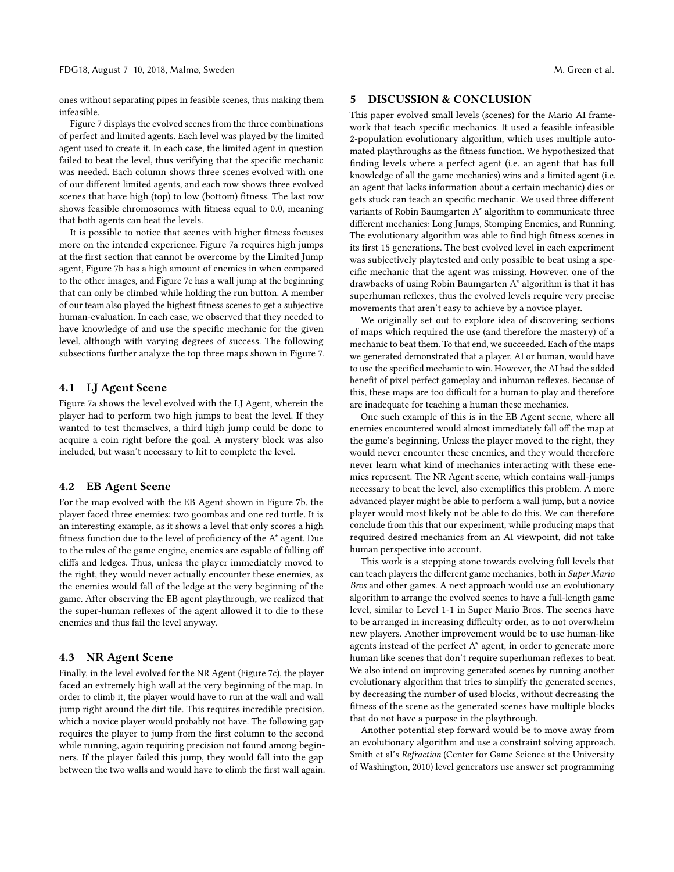ones without separating pipes in feasible scenes, thus making them infeasible.

Figure [7](#page-6-7) displays the evolved scenes from the three combinations of perfect and limited agents. Each level was played by the limited agent used to create it. In each case, the limited agent in question failed to beat the level, thus verifying that the specific mechanic was needed. Each column shows three scenes evolved with one of our different limited agents, and each row shows three evolved scenes that have high (top) to low (bottom) fitness. The last row shows feasible chromosomes with fitness equal to <sup>0</sup>.0, meaning that both agents can beat the levels.

It is possible to notice that scenes with higher fitness focuses more on the intended experience. Figure [7a](#page-6-7) requires high jumps at the first section that cannot be overcome by the Limited Jump agent, Figure [7b](#page-6-7) has a high amount of enemies in when compared to the other images, and Figure [7c](#page-6-7) has a wall jump at the beginning that can only be climbed while holding the run button. A member of our team also played the highest fitness scenes to get a subjective human-evaluation. In each case, we observed that they needed to have knowledge of and use the specific mechanic for the given level, although with varying degrees of success. The following subsections further analyze the top three maps shown in Figure [7.](#page-6-7)

### 4.1 LJ Agent Scene

Figure [7a](#page-6-7) shows the level evolved with the LJ Agent, wherein the player had to perform two high jumps to beat the level. If they wanted to test themselves, a third high jump could be done to acquire a coin right before the goal. A mystery block was also included, but wasn't necessary to hit to complete the level.

#### 4.2 EB Agent Scene

For the map evolved with the EB Agent shown in Figure [7b,](#page-6-7) the player faced three enemies: two goombas and one red turtle. It is an interesting example, as it shows a level that only scores a high fitness function due to the level of proficiency of the A\* agent. Due to the rules of the game engine, enemies are capable of falling off cliffs and ledges. Thus, unless the player immediately moved to the right, they would never actually encounter these enemies, as the enemies would fall of the ledge at the very beginning of the game. After observing the EB agent playthrough, we realized that the super-human reflexes of the agent allowed it to die to these enemies and thus fail the level anyway.

### 4.3 NR Agent Scene

Finally, in the level evolved for the NR Agent (Figure [7c\)](#page-6-7), the player faced an extremely high wall at the very beginning of the map. In order to climb it, the player would have to run at the wall and wall jump right around the dirt tile. This requires incredible precision, which a novice player would probably not have. The following gap requires the player to jump from the first column to the second while running, again requiring precision not found among beginners. If the player failed this jump, they would fall into the gap between the two walls and would have to climb the first wall again.

### 5 DISCUSSION & CONCLUSION

This paper evolved small levels (scenes) for the Mario AI framework that teach specific mechanics. It used a feasible infeasible 2-population evolutionary algorithm, which uses multiple automated playthroughs as the fitness function. We hypothesized that finding levels where a perfect agent (i.e. an agent that has full knowledge of all the game mechanics) wins and a limited agent (i.e. an agent that lacks information about a certain mechanic) dies or gets stuck can teach an specific mechanic. We used three different variants of Robin Baumgarten A\* algorithm to communicate three different mechanics: Long Jumps, Stomping Enemies, and Running. The evolutionary algorithm was able to find high fitness scenes in its first 15 generations. The best evolved level in each experiment was subjectively playtested and only possible to beat using a specific mechanic that the agent was missing. However, one of the drawbacks of using Robin Baumgarten A\* algorithm is that it has superhuman reflexes, thus the evolved levels require very precise movements that aren't easy to achieve by a novice player.

We originally set out to explore idea of discovering sections of maps which required the use (and therefore the mastery) of a mechanic to beat them. To that end, we succeeded. Each of the maps we generated demonstrated that a player, AI or human, would have to use the specified mechanic to win. However, the AI had the added benefit of pixel perfect gameplay and inhuman reflexes. Because of this, these maps are too difficult for a human to play and therefore are inadequate for teaching a human these mechanics.

One such example of this is in the EB Agent scene, where all enemies encountered would almost immediately fall off the map at the game's beginning. Unless the player moved to the right, they would never encounter these enemies, and they would therefore never learn what kind of mechanics interacting with these enemies represent. The NR Agent scene, which contains wall-jumps necessary to beat the level, also exemplifies this problem. A more advanced player might be able to perform a wall jump, but a novice player would most likely not be able to do this. We can therefore conclude from this that our experiment, while producing maps that required desired mechanics from an AI viewpoint, did not take human perspective into account.

This work is a stepping stone towards evolving full levels that can teach players the different game mechanics, both in Super Mario Bros and other games. A next approach would use an evolutionary algorithm to arrange the evolved scenes to have a full-length game level, similar to Level 1-1 in Super Mario Bros. The scenes have to be arranged in increasing difficulty order, as to not overwhelm new players. Another improvement would be to use human-like agents instead of the perfect A\* agent, in order to generate more human like scenes that don't require superhuman reflexes to beat. We also intend on improving generated scenes by running another evolutionary algorithm that tries to simplify the generated scenes, by decreasing the number of used blocks, without decreasing the fitness of the scene as the generated scenes have multiple blocks that do not have a purpose in the playthrough.

Another potential step forward would be to move away from an evolutionary algorithm and use a constraint solving approach. Smith et al's Refraction (Center for Game Science at the University of Washington, 2010) level generators use answer set programming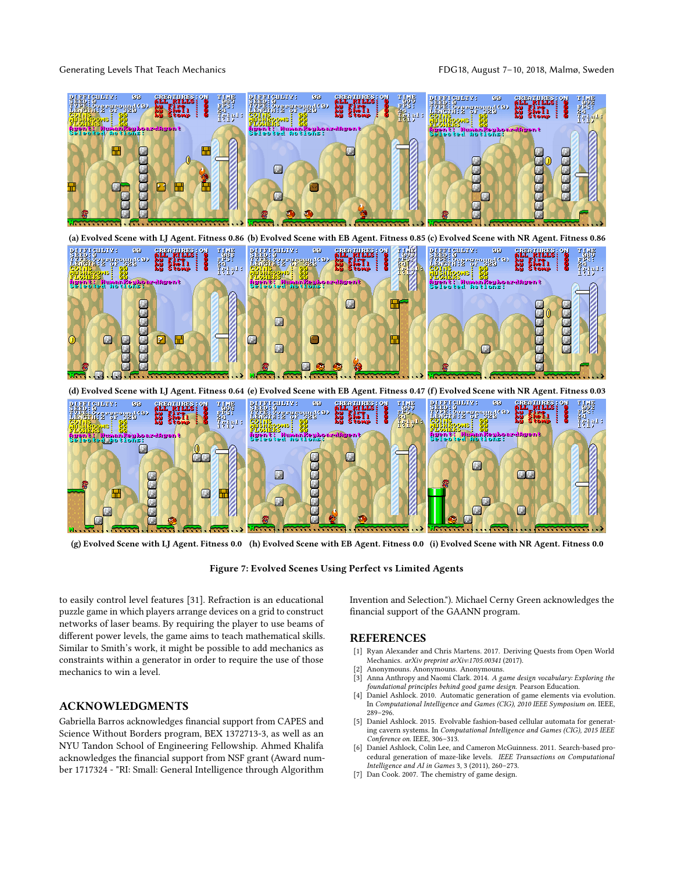Generating Levels That Teach Mechanics **FDG18**, August 7-10, 2018, Malmø, Sweden

<span id="page-6-7"></span>

(g) Evolved Scene with LJ Agent. Fitness 0.0 (h) Evolved Scene with EB Agent. Fitness 0.0 (i) Evolved Scene with NR Agent. Fitness 0.0

Figure 7: Evolved Scenes Using Perfect vs Limited Agents

to easily control level features [\[31\]](#page-7-32). Refraction is an educational puzzle game in which players arrange devices on a grid to construct networks of laser beams. By requiring the player to use beams of different power levels, the game aims to teach mathematical skills. Similar to Smith's work, it might be possible to add mechanics as constraints within a generator in order to require the use of those mechanics to win a level.

### ACKNOWLEDGMENTS

Gabriella Barros acknowledges financial support from CAPES and Science Without Borders program, BEX 1372713-3, as well as an NYU Tandon School of Engineering Fellowship. Ahmed Khalifa acknowledges the financial support from NSF grant (Award number 1717324 - "RI: Small: General Intelligence through Algorithm

Invention and Selection."). Michael Cerny Green acknowledges the financial support of the GAANN program.

## REFERENCES

- <span id="page-6-5"></span>[1] Ryan Alexander and Chris Martens. 2017. Deriving Quests from Open World Mechanics. arXiv preprint arXiv:1705.00341 (2017).
- <span id="page-6-6"></span><span id="page-6-0"></span>[2] Anonymouns. Anonymouns. Anonymouns.<br>[3] Anna Anthropy and Naomi Clark. 2014. A go Anna Anthropy and Naomi Clark. 2014. A game design vocabulary: Exploring the foundational principles behind good game design. Pearson Education.
- <span id="page-6-1"></span>[4] Daniel Ashlock. 2010. Automatic generation of game elements via evolution. In Computational Intelligence and Games (CIG), 2010 IEEE Symposium on. IEEE, 289–296.
- <span id="page-6-3"></span>[5] Daniel Ashlock. 2015. Evolvable fashion-based cellular automata for generating cavern systems. In Computational Intelligence and Games (CIG), 2015 IEEE Conference on. IEEE, 306–313.
- <span id="page-6-2"></span>[6] Daniel Ashlock, Colin Lee, and Cameron McGuinness. 2011. Search-based procedural generation of maze-like levels. IEEE Transactions on Computational Intelligence and AI in Games 3, 3 (2011), 260–273.
- <span id="page-6-4"></span>[7] Dan Cook. 2007. The chemistry of game design.